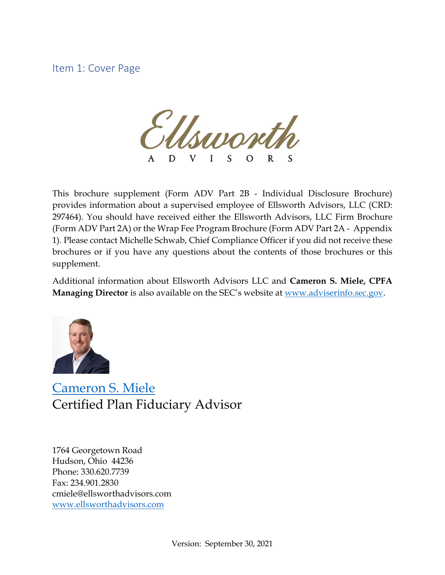Item 1: Cover Page

Isanove D L  $\Omega$ 

This brochure supplement (Form ADV Part 2B - Individual Disclosure Brochure) provides information about a supervised employee of Ellsworth Advisors, LLC (CRD: 297464). You should have received either the Ellsworth Advisors, LLC Firm Brochure (Form ADV Part 2A) or the Wrap Fee Program Brochure (Form ADV Part 2A - Appendix 1). Please contact Michelle Schwab, Chief Compliance Officer if you did not receive these brochures or if you have any questions about the contents of those brochures or this supplement.

Additional information about Ellsworth Advisors LLC and **Cameron S. Miele, CPFA Managing Director** is also available on the SEC's website at [www.adviserinfo.sec.gov.](http://www.adviserinfo.sec.gov/)



[Cameron S. Miele](https://www.ellsworthadvisors.com/leadership/cameron-s-miele/) Certified Plan Fiduciary Advisor

1764 Georgetown Road Hudson, Ohio 44236 Phone: 330.620.7739 Fax: 234.901.2830 cmiele@ellsworthadvisors.com [www.ellsworthadvisors.com](http://www.ellsworthadvisors.com/)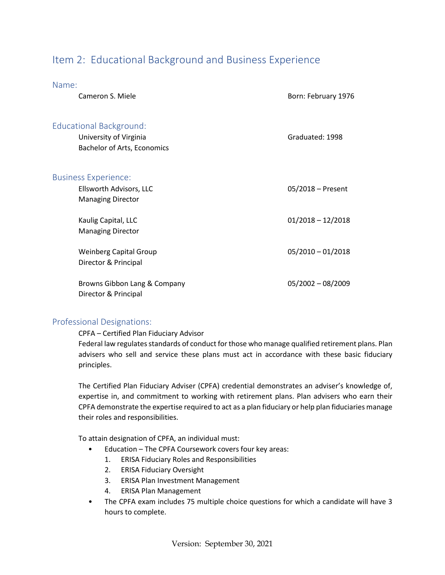# Item 2: Educational Background and Business Experience

| Name:                                                                              |                                    |                     |
|------------------------------------------------------------------------------------|------------------------------------|---------------------|
| Cameron S. Miele                                                                   |                                    | Born: February 1976 |
| <b>Educational Background:</b><br>University of Virginia                           | <b>Bachelor of Arts, Economics</b> | Graduated: 1998     |
| <b>Business Experience:</b><br>Ellsworth Advisors, LLC<br><b>Managing Director</b> |                                    | 05/2018 - Present   |
| Kaulig Capital, LLC<br><b>Managing Director</b>                                    |                                    | $01/2018 - 12/2018$ |
| <b>Weinberg Capital Group</b><br>Director & Principal                              |                                    | $05/2010 - 01/2018$ |
| Director & Principal                                                               | Browns Gibbon Lang & Company       | $05/2002 - 08/2009$ |

#### Professional Designations:

#### CPFA – Certified Plan Fiduciary Advisor

Federal law regulates standards of conduct for those who manage qualified retirement plans. Plan advisers who sell and service these plans must act in accordance with these basic fiduciary principles.

The Certified Plan Fiduciary Adviser (CPFA) credential demonstrates an adviser's knowledge of, expertise in, and commitment to working with retirement plans. Plan advisers who earn their CPFA demonstrate the expertise required to act as a plan fiduciary or help plan fiduciaries manage their roles and responsibilities.

To attain designation of CPFA, an individual must:

- Education The CPFA Coursework covers four key areas:
	- 1. ERISA Fiduciary Roles and Responsibilities
	- 2. ERISA Fiduciary Oversight
	- 3. ERISA Plan Investment Management
	- 4. ERISA Plan Management
- The CPFA exam includes 75 multiple choice questions for which a candidate will have 3 hours to complete.